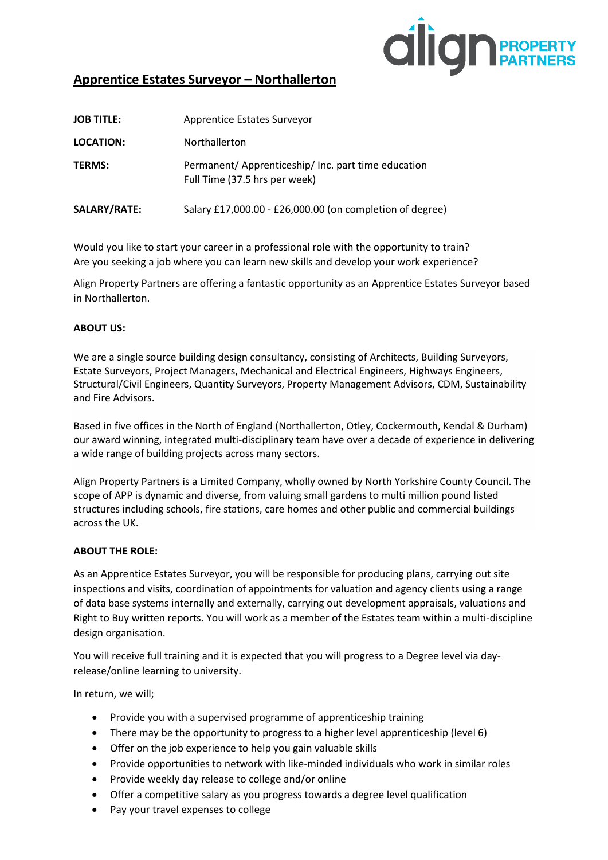

# **Apprentice Estates Surveyor – Northallerton**

| <b>JOB TITLE:</b> | Apprentice Estates Surveyor                                                          |
|-------------------|--------------------------------------------------------------------------------------|
| <b>LOCATION:</b>  | Northallerton                                                                        |
| <b>TERMS:</b>     | Permanent/ Apprenticeship/ Inc. part time education<br>Full Time (37.5 hrs per week) |
| SALARY/RATE:      | Salary £17,000.00 - £26,000.00 (on completion of degree)                             |

Would you like to start your career in a professional role with the opportunity to train? Are you seeking a job where you can learn new skills and develop your work experience?

Align Property Partners are offering a fantastic opportunity as an Apprentice Estates Surveyor based in Northallerton.

### **ABOUT US:**

We are a single source building design consultancy, consisting of Architects, Building Surveyors, Estate Surveyors, Project Managers, Mechanical and Electrical Engineers, Highways Engineers, Structural/Civil Engineers, Quantity Surveyors, Property Management Advisors, CDM, Sustainability and Fire Advisors.

Based in five offices in the North of England (Northallerton, Otley, Cockermouth, Kendal & Durham) our award winning, integrated multi-disciplinary team have over a decade of experience in delivering a wide range of building projects across many sectors.

Align Property Partners is a Limited Company, wholly owned by North Yorkshire County Council. The scope of APP is dynamic and diverse, from valuing small gardens to multi million pound listed structures including schools, fire stations, care homes and other public and commercial buildings across the UK.

#### **ABOUT THE ROLE:**

As an Apprentice Estates Surveyor, you will be responsible for producing plans, carrying out site inspections and visits, coordination of appointments for valuation and agency clients using a range of data base systems internally and externally, carrying out development appraisals, valuations and Right to Buy written reports. You will work as a member of the Estates team within a multi-discipline design organisation.

You will receive full training and it is expected that you will progress to a Degree level via dayrelease/online learning to university.

In return, we will;

- Provide you with a supervised programme of apprenticeship training
- There may be the opportunity to progress to a higher level apprenticeship (level 6)
- Offer on the job experience to help you gain valuable skills
- Provide opportunities to network with like-minded individuals who work in similar roles
- Provide weekly day release to college and/or online
- Offer a competitive salary as you progress towards a degree level qualification
- Pay your travel expenses to college